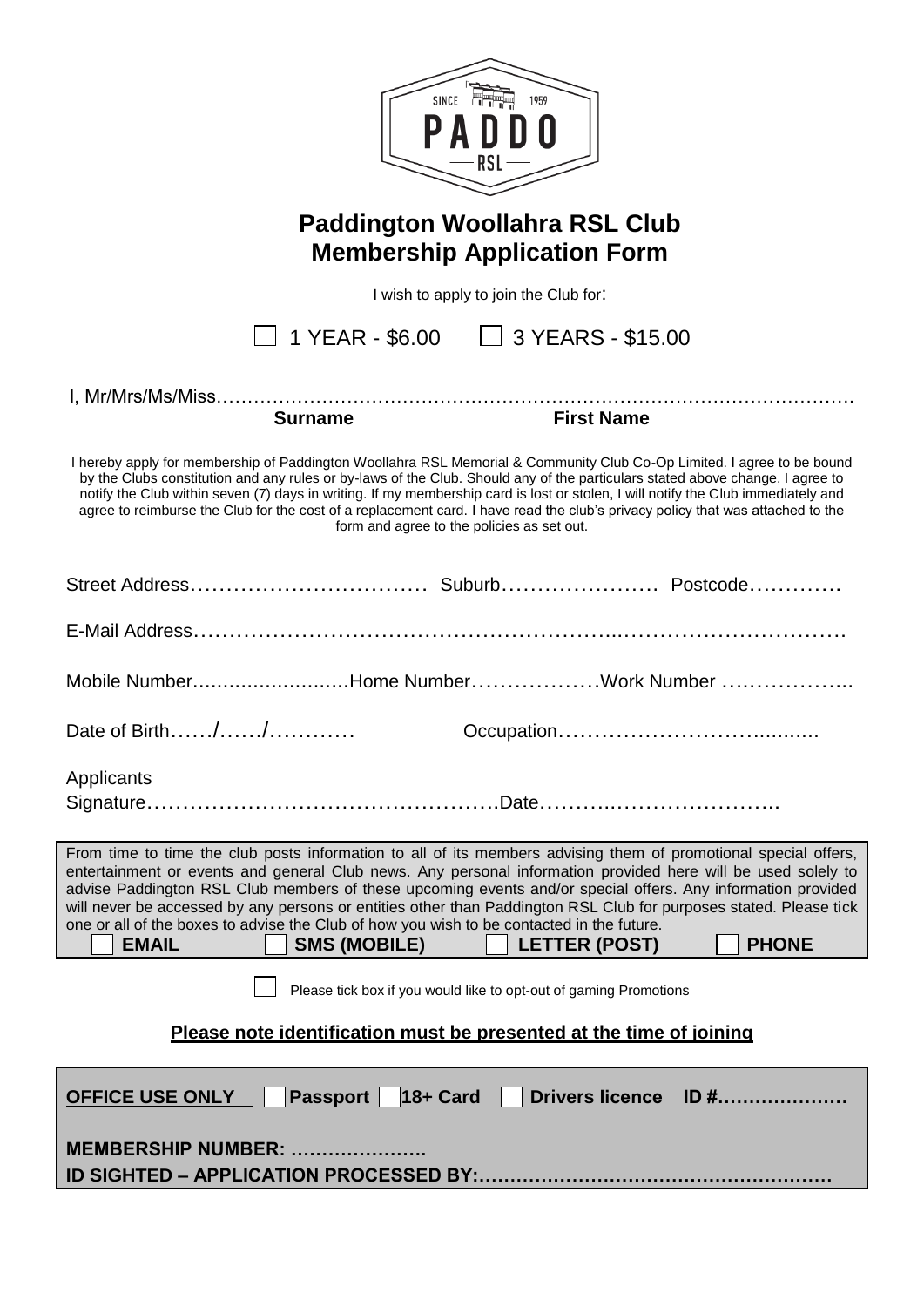| SINCE <b>FIRE</b><br>1959<br>RSL                                                                                                                                                                                                                                                                                                                                                                                                                                                                                                                                                                                                                |  |  |
|-------------------------------------------------------------------------------------------------------------------------------------------------------------------------------------------------------------------------------------------------------------------------------------------------------------------------------------------------------------------------------------------------------------------------------------------------------------------------------------------------------------------------------------------------------------------------------------------------------------------------------------------------|--|--|
| <b>Paddington Woollahra RSL Club</b><br><b>Membership Application Form</b>                                                                                                                                                                                                                                                                                                                                                                                                                                                                                                                                                                      |  |  |
| I wish to apply to join the Club for:                                                                                                                                                                                                                                                                                                                                                                                                                                                                                                                                                                                                           |  |  |
| 1 YEAR - $$6.00$ $\Box$ 3 YEARS - \$15.00                                                                                                                                                                                                                                                                                                                                                                                                                                                                                                                                                                                                       |  |  |
|                                                                                                                                                                                                                                                                                                                                                                                                                                                                                                                                                                                                                                                 |  |  |
| <b>Surname</b><br><b>First Name</b>                                                                                                                                                                                                                                                                                                                                                                                                                                                                                                                                                                                                             |  |  |
|                                                                                                                                                                                                                                                                                                                                                                                                                                                                                                                                                                                                                                                 |  |  |
| I hereby apply for membership of Paddington Woollahra RSL Memorial & Community Club Co-Op Limited. I agree to be bound<br>by the Clubs constitution and any rules or by-laws of the Club. Should any of the particulars stated above change, I agree to<br>notify the Club within seven (7) days in writing. If my membership card is lost or stolen, I will notify the Club immediately and<br>agree to reimburse the Club for the cost of a replacement card. I have read the club's privacy policy that was attached to the<br>form and agree to the policies as set out.                                                                    |  |  |
|                                                                                                                                                                                                                                                                                                                                                                                                                                                                                                                                                                                                                                                 |  |  |
|                                                                                                                                                                                                                                                                                                                                                                                                                                                                                                                                                                                                                                                 |  |  |
| Mobile NumberHome NumberWork Number                                                                                                                                                                                                                                                                                                                                                                                                                                                                                                                                                                                                             |  |  |
| Date of Birth//                                                                                                                                                                                                                                                                                                                                                                                                                                                                                                                                                                                                                                 |  |  |
| Applicants                                                                                                                                                                                                                                                                                                                                                                                                                                                                                                                                                                                                                                      |  |  |
|                                                                                                                                                                                                                                                                                                                                                                                                                                                                                                                                                                                                                                                 |  |  |
| From time to time the club posts information to all of its members advising them of promotional special offers,<br>entertainment or events and general Club news. Any personal information provided here will be used solely to<br>advise Paddington RSL Club members of these upcoming events and/or special offers. Any information provided<br>will never be accessed by any persons or entities other than Paddington RSL Club for purposes stated. Please tick<br>one or all of the boxes to advise the Club of how you wish to be contacted in the future.<br><b>EMAIL</b><br><b>SMS (MOBILE)</b><br><b>PHONE</b><br><b>LETTER (POST)</b> |  |  |
| Please tick box if you would like to opt-out of gaming Promotions                                                                                                                                                                                                                                                                                                                                                                                                                                                                                                                                                                               |  |  |
| Please note identification must be presented at the time of joining                                                                                                                                                                                                                                                                                                                                                                                                                                                                                                                                                                             |  |  |
| Passport   18+ Card   Drivers licence ID #<br><b>OFFICE USE ONLY</b>                                                                                                                                                                                                                                                                                                                                                                                                                                                                                                                                                                            |  |  |
| <b>MEMBERSHIP NUMBER: </b>                                                                                                                                                                                                                                                                                                                                                                                                                                                                                                                                                                                                                      |  |  |